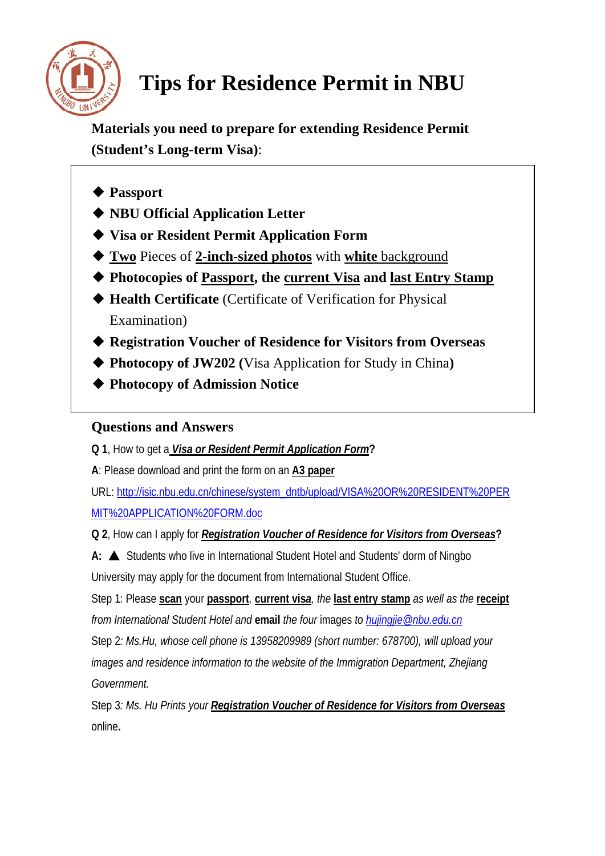

## **Tips for Residence Permit in NBU**

**Materials you need to prepare for extending Residence Permit (Student's Long-term Visa)**:

- ◆ **Passport**
- ◆ **NBU Official Application Letter**
- ◆ **Visa or Resident Permit Application Form**
- ◆ **Two** Pieces of **2-inch-sized photos** with **white** background
- ◆ **Photocopies of Passport, the current Visa and last Entry Stamp**
- ◆ **Health Certificate** (Certificate of Verification for Physical Examination)
- ◆ **Registration Voucher of Residence for Visitors from Overseas**
- ◆ **Photocopy of JW202** (Visa Application for Study in China)
- ◆ **Photocopy of Admission Notice**

## **Questions and Answers**

**Q 1**, How to get a *Visa or Resident Permit Application Form***?** 

**A**: Please download and print the form on an **A3 paper**

URL: [http://isic.nbu.edu.cn/chinese/system\\_dntb/upload/VISA%20OR%20RESIDENT%20PER](http://isic.nbu.edu.cn/chinese/system_dntb/upload/VISA%20OR%20RESIDENT%20PERMIT%20APPLICATION%20FORM.doc) [MIT%20APPLICATION%20FORM.doc](http://isic.nbu.edu.cn/chinese/system_dntb/upload/VISA%20OR%20RESIDENT%20PERMIT%20APPLICATION%20FORM.doc)

**Q 2**, How can I apply for *Registration Voucher of Residence for Visitors from Overseas***?** 

**A:** ▲ Students who live in International Student Hotel and Students' dorm of Ningbo University may apply for the document from International Student Office.

Step 1: Please **scan** your **passport***,* **current vis***a, the* **last entry stamp** *as well as the* **receipt** *from International Student Hotel and* **email** *the four* images *to [hujingjie@nbu.edu.cn](mailto:hujingjie@nbu.edu.cn)*

Step 2*: Ms.Hu, whose cell phone is 13958209989 (short number: 678700), will upload your images and residence information to the website of the Immigration Department, Zhejiang Government.* 

Step 3*: Ms. Hu Prints your Registration Voucher of Residence for Visitors from Overseas* online**.**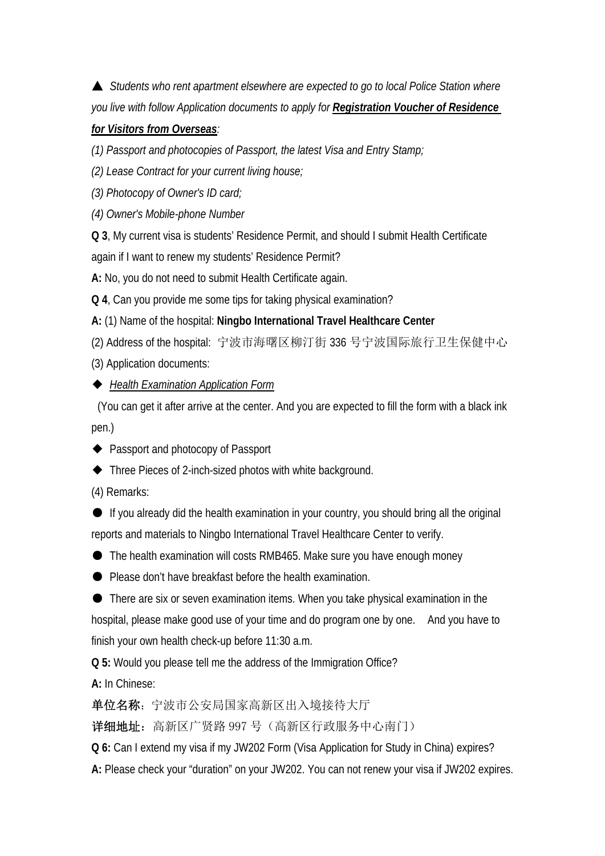▲ *Students who rent apartment elsewhere are expected to go to local Police Station where you live with follow Application documents to apply for Registration Voucher of Residence* 

## *for Visitors from Overseas:*

*(1) Passport and photocopies of Passport, the latest Visa and Entry Stamp;* 

*(2) Lease Contract for your current living house;* 

*(3) Photocopy of Owner's ID card;* 

*(4) Owner's Mobile-phone Number* 

**Q 3**, My current visa is students' Residence Permit, and should I submit Health Certificate

again if I want to renew my students' Residence Permit?

**A:** No, you do not need to submit Health Certificate again.

**Q 4**, Can you provide me some tips for taking physical examination?

**A:** (1) Name of the hospital: **Ningbo International Travel Healthcare Center**

(2) Address of the hospital: 宁波市海曙区柳汀街 336 号宁波国际旅行卫生保健中心

(3) Application documents:

## ◆ *Health Examination Application Form*

 (You can get it after arrive at the center. And you are expected to fill the form with a black ink pen.)

- ◆ Passport and photocopy of Passport
- ◆ Three Pieces of 2-inch-sized photos with white background.
- (4) Remarks:

● If you already did the health examination in your country, you should bring all the original reports and materials to Ningbo International Travel Healthcare Center to verify.

● The health examination will costs RMB465. Make sure you have enough money

● Please don't have breakfast before the health examination.

● There are six or seven examination items. When you take physical examination in the hospital, please make good use of your time and do program one by one. And you have to finish your own health check-up before 11:30 a.m.

**Q 5:** Would you please tell me the address of the Immigration Office?

**A:** In Chinese:

单位名称:宁波市公安局国家高新区出入境接待大厅

**详细地址:** 高新区广贤路 997 号 (高新区行政服务中心南门)

**Q 6:** Can I extend my visa if my JW202 Form (Visa Application for Study in China) expires? **A:** Please check your "duration" on your JW202. You can not renew your visa if JW202 expires.